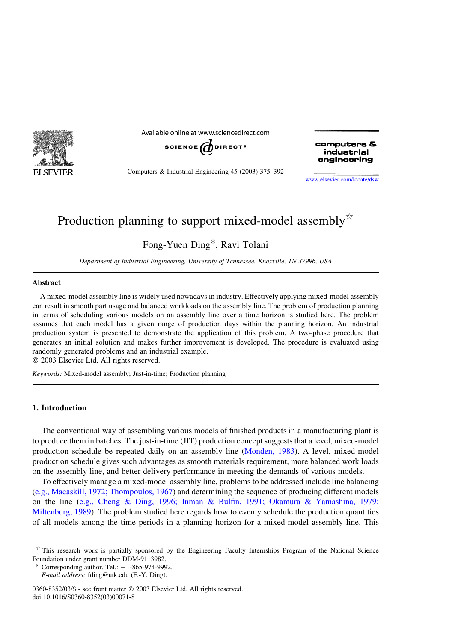

Available online at www.sciencedirect.com

$$
\texttt{CINENCE} \bigoplus \texttt{DIRECT}^{\bullet}
$$

**computers &** industrial engineering

Computers & Industrial Engineering 45 (2003) 375–392

[www.elsevier.com/locate/dsw](http://www.elsevier.com/locate/dsw)

# Production planning to support mixed-model assembly  $\overline{Y}$

Fong-Yuen Ding\*, Ravi Tolani

Department of Industrial Engineering, University of Tennessee, Knoxville, TN 37996, USA

#### Abstract

A mixed-model assembly line is widely used nowadays in industry. Effectively applying mixed-model assembly can result in smooth part usage and balanced workloads on the assembly line. The problem of production planning in terms of scheduling various models on an assembly line over a time horizon is studied here. The problem assumes that each model has a given range of production days within the planning horizon. An industrial production system is presented to demonstrate the application of this problem. A two-phase procedure that generates an initial solution and makes further improvement is developed. The procedure is evaluated using randomly generated problems and an industrial example.

 $©$  2003 Elsevier Ltd. All rights reserved.

Keywords: Mixed-model assembly; Just-in-time; Production planning

## 1. Introduction

The conventional way of assembling various models of finished products in a manufacturing plant is to produce them in batches. The just-in-time (JIT) production concept suggests that a level, mixed-model production schedule be repeated daily on an assembly line ([Monden, 1983](#page--1-0)). A level, mixed-model production schedule gives such advantages as smooth materials requirement, more balanced work loads on the assembly line, and better delivery performance in meeting the demands of various models.

To effectively manage a mixed-model assembly line, problems to be addressed include line balancing [\(e.g., Macaskill, 1972; Thompoulos, 1967\)](#page--1-0) and determining the sequence of producing different models on the line [\(e.g., Cheng & Ding, 1996; Inman & Bulfin, 1991; Okamura & Yamashina, 1979;](#page--1-0) [Miltenburg, 1989](#page--1-0)). The problem studied here regards how to evenly schedule the production quantities of all models among the time periods in a planning horizon for a mixed-model assembly line. This

 $\star$  This research work is partially sponsored by the Engineering Faculty Internships Program of the National Science Foundation under grant number DDM-9113982.

<sup>\*</sup> Corresponding author. Tel.:  $+1-865-974-9992$ .

E-mail address: fding@utk.edu (F.-Y. Ding).

<sup>0360-8352/03/\$ -</sup> see front matter © 2003 Elsevier Ltd. All rights reserved. doi:10.1016/S0360-8352(03)00071-8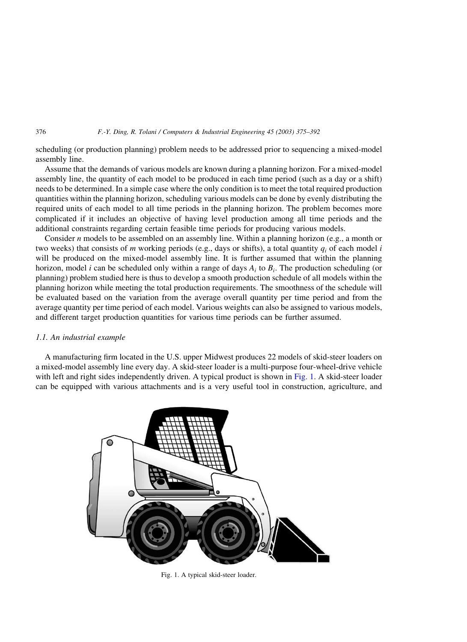#### 376 F.-Y. Ding, R. Tolani / Computers & Industrial Engineering 45 (2003) 375–392

scheduling (or production planning) problem needs to be addressed prior to sequencing a mixed-model assembly line.

Assume that the demands of various models are known during a planning horizon. For a mixed-model assembly line, the quantity of each model to be produced in each time period (such as a day or a shift) needs to be determined. In a simple case where the only condition is to meet the total required production quantities within the planning horizon, scheduling various models can be done by evenly distributing the required units of each model to all time periods in the planning horizon. The problem becomes more complicated if it includes an objective of having level production among all time periods and the additional constraints regarding certain feasible time periods for producing various models.

Consider n models to be assembled on an assembly line. Within a planning horizon (e.g., a month or two weeks) that consists of m working periods (e.g., days or shifts), a total quantity  $q_i$  of each model i will be produced on the mixed-model assembly line. It is further assumed that within the planning horizon, model *i* can be scheduled only within a range of days  $A_i$  to  $B_i$ . The production scheduling (or planning) problem studied here is thus to develop a smooth production schedule of all models within the planning horizon while meeting the total production requirements. The smoothness of the schedule will be evaluated based on the variation from the average overall quantity per time period and from the average quantity per time period of each model. Various weights can also be assigned to various models, and different target production quantities for various time periods can be further assumed.

### 1.1. An industrial example

A manufacturing firm located in the U.S. upper Midwest produces 22 models of skid-steer loaders on a mixed-model assembly line every day. A skid-steer loader is a multi-purpose four-wheel-drive vehicle with left and right sides independently driven. A typical product is shown in Fig. 1. A skid-steer loader can be equipped with various attachments and is a very useful tool in construction, agriculture, and



Fig. 1. A typical skid-steer loader.